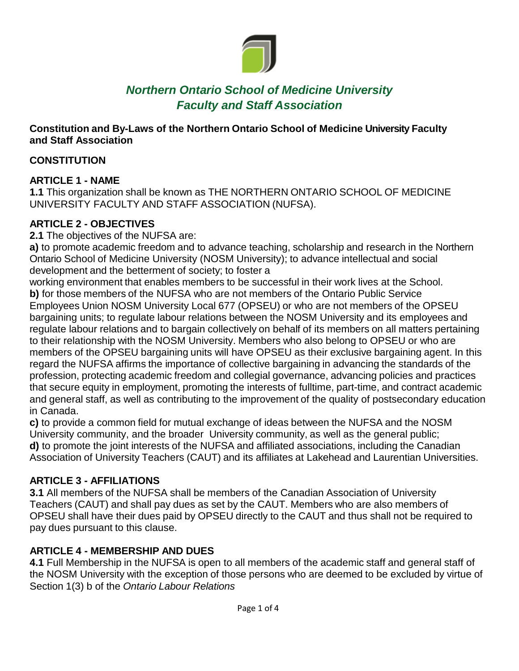

# *Northern Ontario School of Medicine University Faculty and Staff Association*

#### **Constitution and By-Laws of the Northern Ontario School of Medicine University Faculty and Staff Association**

#### **CONSTITUTION**

#### **ARTICLE 1 - NAME**

**1.1** This organization shall be known as THE NORTHERN ONTARIO SCHOOL OF MEDICINE UNIVERSITY FACULTY AND STAFF ASSOCIATION (NUFSA).

## **ARTICLE 2 - OBJECTIVES**

**2.1** The objectives of the NUFSA are:

**a)** to promote academic freedom and to advance teaching, scholarship and research in the Northern Ontario School of Medicine University (NOSM University); to advance intellectual and social development and the betterment of society; to foster a

working environment that enables members to be successful in their work lives at the School. **b)** for those members of the NUFSA who are not members of the Ontario Public Service Employees Union NOSM University Local 677 (OPSEU) or who are not members of the OPSEU bargaining units; to regulate labour relations between the NOSM University and its employees and regulate labour relations and to bargain collectively on behalf of its members on all matters pertaining to their relationship with the NOSM University. Members who also belong to OPSEU or who are members of the OPSEU bargaining units will have OPSEU as their exclusive bargaining agent. In this regard the NUFSA affirms the importance of collective bargaining in advancing the standards of the profession, protecting academic freedom and collegial governance, advancing policies and practices that secure equity in employment, promoting the interests of fulltime, part-time, and contract academic and general staff, as well as contributing to the improvement of the quality of postsecondary education in Canada.

**c)** to provide a common field for mutual exchange of ideas between the NUFSA and the NOSM University community, and the broader University community, as well as the general public; **d)** to promote the joint interests of the NUFSA and affiliated associations, including the Canadian Association of University Teachers (CAUT) and its affiliates at Lakehead and Laurentian Universities.

## **ARTICLE 3 - AFFILIATIONS**

**3.1** All members of the NUFSA shall be members of the Canadian Association of University Teachers (CAUT) and shall pay dues as set by the CAUT. Members who are also members of OPSEU shall have their dues paid by OPSEU directly to the CAUT and thus shall not be required to pay dues pursuant to this clause.

## **ARTICLE 4 - MEMBERSHIP AND DUES**

**4.1** Full Membership in the NUFSA is open to all members of the academic staff and general staff of the NOSM University with the exception of those persons who are deemed to be excluded by virtue of Section 1(3) b of the *Ontario Labour Relations*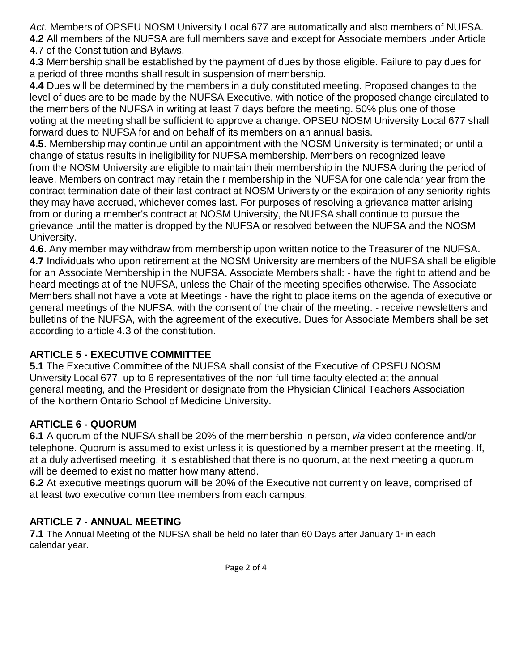*Act.* Members of OPSEU NOSM University Local 677 are automatically and also members of NUFSA. **4.2** All members of the NUFSA are full members save and except for Associate members under Article 4.7 of the Constitution and Bylaws,

**4.3** Membership shall be established by the payment of dues by those eligible. Failure to pay dues for a period of three months shall result in suspension of membership.

**4.4** Dues will be determined by the members in a duly constituted meeting. Proposed changes to the level of dues are to be made by the NUFSA Executive, with notice of the proposed change circulated to the members of the NUFSA in writing at least 7 days before the meeting. 50% plus one of those voting at the meeting shall be sufficient to approve a change. OPSEU NOSM University Local 677 shall forward dues to NUFSA for and on behalf of its members on an annual basis.

**4.5**. Membership may continue until an appointment with the NOSM University is terminated; or until a change of status results in ineligibility for NUFSA membership. Members on recognized leave from the NOSM University are eligible to maintain their membership in the NUFSA during the period of leave. Members on contract may retain their membership in the NUFSA for one calendar year from the contract termination date of their last contract at NOSM University or the expiration of any seniority rights they may have accrued, whichever comes last. For purposes of resolving a grievance matter arising from or during a member's contract at NOSM University, the NUFSA shall continue to pursue the grievance until the matter is dropped by the NUFSA or resolved between the NUFSA and the NOSM University.

**4.6**. Any member may withdraw from membership upon written notice to the Treasurer of the NUFSA. **4.7** Individuals who upon retirement at the NOSM University are members of the NUFSA shall be eligible for an Associate Membership in the NUFSA. Associate Members shall: - have the right to attend and be heard meetings at of the NUFSA, unless the Chair of the meeting specifies otherwise. The Associate Members shall not have a vote at Meetings - have the right to place items on the agenda of executive or general meetings of the NUFSA, with the consent of the chair of the meeting. - receive newsletters and bulletins of the NUFSA, with the agreement of the executive. Dues for Associate Members shall be set according to article 4.3 of the constitution.

## **ARTICLE 5 - EXECUTIVE COMMITTEE**

**5.1** The Executive Committee of the NUFSA shall consist of the Executive of OPSEU NOSM University Local 677, up to 6 representatives of the non full time faculty elected at the annual general meeting, and the President or designate from the Physician Clinical Teachers Association of the Northern Ontario School of Medicine University.

## **ARTICLE 6 - QUORUM**

**6.1** A quorum of the NUFSA shall be 20% of the membership in person, *via* video conference and/or telephone. Quorum is assumed to exist unless it is questioned by a member present at the meeting. If, at a duly advertised meeting, it is established that there is no quorum, at the next meeting a quorum will be deemed to exist no matter how many attend.

**6.2** At executive meetings quorum will be 20% of the Executive not currently on leave, comprised of at least two executive committee members from each campus.

## **ARTICLE 7 - ANNUAL MEETING**

**7.1** The Annual Meeting of the NUFSA shall be held no later than 60 Days after January 1<sup>st</sup> in each calendar year.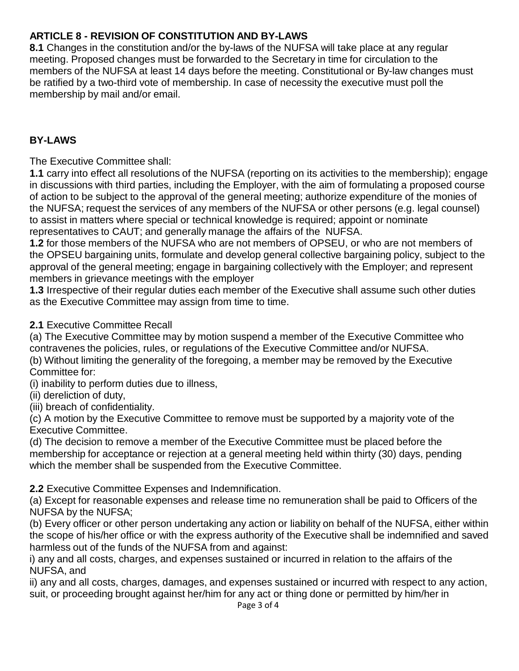## **ARTICLE 8 - REVISION OF CONSTITUTION AND BY-LAWS**

**8.1** Changes in the constitution and/or the by-laws of the NUFSA will take place at any regular meeting. Proposed changes must be forwarded to the Secretary in time for circulation to the members of the NUFSA at least 14 days before the meeting. Constitutional or By-law changes must be ratified by a two-third vote of membership. In case of necessity the executive must poll the membership by mail and/or email.

#### **BY-LAWS**

The Executive Committee shall:

**1.1** carry into effect all resolutions of the NUFSA (reporting on its activities to the membership); engage in discussions with third parties, including the Employer, with the aim of formulating a proposed course of action to be subject to the approval of the general meeting; authorize expenditure of the monies of the NUFSA; request the services of any members of the NUFSA or other persons (e.g. legal counsel) to assist in matters where special or technical knowledge is required; appoint or nominate representatives to CAUT; and generally manage the affairs of the NUFSA.

**1.2** for those members of the NUFSA who are not members of OPSEU, or who are not members of the OPSEU bargaining units, formulate and develop general collective bargaining policy, subject to the approval of the general meeting; engage in bargaining collectively with the Employer; and represent members in grievance meetings with the employer

**1.3** Irrespective of their regular duties each member of the Executive shall assume such other duties as the Executive Committee may assign from time to time.

#### **2.1** Executive Committee Recall

(a) The Executive Committee may by motion suspend a member of the Executive Committee who contravenes the policies, rules, or regulations of the Executive Committee and/or NUFSA. (b) Without limiting the generality of the foregoing, a member may be removed by the Executive Committee for:

(i) inability to perform duties due to illness,

(ii) dereliction of duty,

(iii) breach of confidentiality.

(c) A motion by the Executive Committee to remove must be supported by a majority vote of the Executive Committee.

(d) The decision to remove a member of the Executive Committee must be placed before the membership for acceptance or rejection at a general meeting held within thirty (30) days, pending which the member shall be suspended from the Executive Committee.

**2.2** Executive Committee Expenses and Indemnification.

(a) Except for reasonable expenses and release time no remuneration shall be paid to Officers of the NUFSA by the NUFSA;

(b) Every officer or other person undertaking any action or liability on behalf of the NUFSA, either within the scope of his/her office or with the express authority of the Executive shall be indemnified and saved harmless out of the funds of the NUFSA from and against:

i) any and all costs, charges, and expenses sustained or incurred in relation to the affairs of the NUFSA, and

ii) any and all costs, charges, damages, and expenses sustained or incurred with respect to any action, suit, or proceeding brought against her/him for any act or thing done or permitted by him/her in